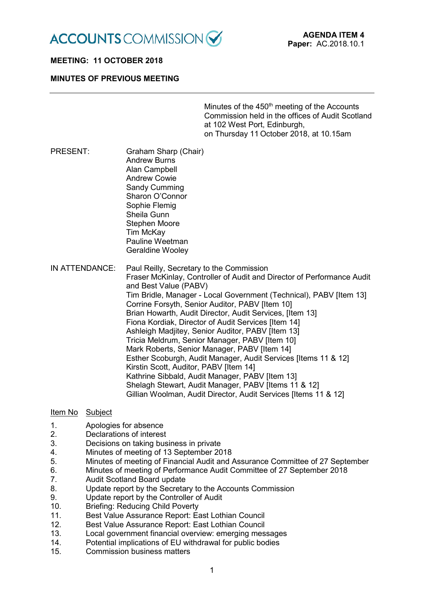

# **MEETING: 11 OCTOBER 2018**

### **MINUTES OF PREVIOUS MEETING**

Minutes of the 450<sup>th</sup> meeting of the Accounts Commission held in the offices of Audit Scotland at 102 West Port, Edinburgh, on Thursday 11 October 2018, at 10.15am

PRESENT: Graham Sharp (Chair) Andrew Burns Alan Campbell Andrew Cowie Sandy Cumming Sharon O'Connor Sophie Flemig Sheila Gunn Stephen Moore Tim McKay Pauline Weetman

Geraldine Wooley

IN ATTENDANCE: Paul Reilly, Secretary to the Commission Fraser McKinlay, Controller of Audit and Director of Performance Audit and Best Value (PABV) Tim Bridle, Manager - Local Government (Technical), PABV [Item 13] Corrine Forsyth, Senior Auditor, PABV [Item 10] Brian Howarth, Audit Director, Audit Services, [Item 13] Fiona Kordiak, Director of Audit Services [Item 14] Ashleigh Madjitey, Senior Auditor, PABV [Item 13] Tricia Meldrum, Senior Manager, PABV [Item 10] Mark Roberts, Senior Manager, PABV [Item 14] Esther Scoburgh, Audit Manager, Audit Services [Items 11 & 12] Kirstin Scott, Auditor, PABV [Item 14] Kathrine Sibbald, Audit Manager, PABV [Item 13] Shelagh Stewart, Audit Manager, PABV [Items 11 & 12] Gillian Woolman, Audit Director, Audit Services [Items 11 & 12]

### Item No Subject

- 1. Apologies for absence
- 2. Declarations of interest
- 3. Decisions on taking business in private
- 4. Minutes of meeting of 13 September 2018
- 5. Minutes of meeting of Financial Audit and Assurance Committee of 27 September
- 6. Minutes of meeting of Performance Audit Committee of 27 September 2018<br>7. Audit Scotland Board update
- Audit Scotland Board update
- 8. Update report by the Secretary to the Accounts Commission
- 9. Update report by the Controller of Audit
- 10. Briefing: Reducing Child Poverty
- 11. Best Value Assurance Report: East Lothian Council
- 12. Best Value Assurance Report: East Lothian Council
- 13. Local government financial overview: emerging messages
- 14. Potential implications of EU withdrawal for public bodies<br>15 Commission business matters
- Commission business matters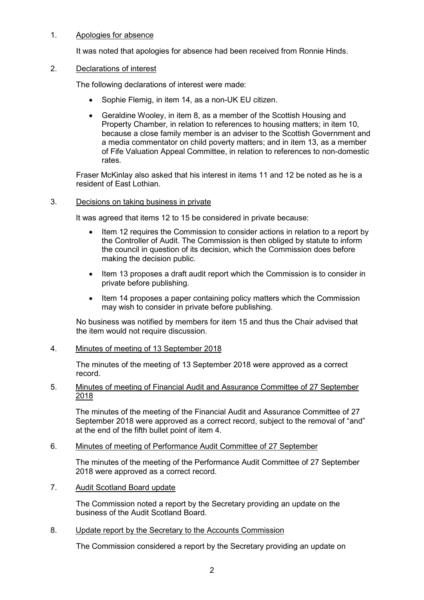# 1. Apologies for absence

It was noted that apologies for absence had been received from Ronnie Hinds.

### 2. Declarations of interest

The following declarations of interest were made:

- Sophie Flemig, in item 14, as a non-UK EU citizen.
- Geraldine Wooley, in item 8, as a member of the Scottish Housing and Property Chamber, in relation to references to housing matters; in item 10, because a close family member is an adviser to the Scottish Government and a media commentator on child poverty matters; and in item 13, as a member of Fife Valuation Appeal Committee, in relation to references to non-domestic rates.

Fraser McKinlay also asked that his interest in items 11 and 12 be noted as he is a resident of East Lothian.

### 3. Decisions on taking business in private

It was agreed that items 12 to 15 be considered in private because:

- Item 12 requires the Commission to consider actions in relation to a report by the Controller of Audit. The Commission is then obliged by statute to inform the council in question of its decision, which the Commission does before making the decision public.
- Item 13 proposes a draft audit report which the Commission is to consider in private before publishing.
- Item 14 proposes a paper containing policy matters which the Commission may wish to consider in private before publishing.

No business was notified by members for item 15 and thus the Chair advised that the item would not require discussion.

# 4. Minutes of meeting of 13 September 2018

The minutes of the meeting of 13 September 2018 were approved as a correct record.

# 5. Minutes of meeting of Financial Audit and Assurance Committee of 27 September 2018

The minutes of the meeting of the Financial Audit and Assurance Committee of 27 September 2018 were approved as a correct record, subject to the removal of "and" at the end of the fifth bullet point of item 4.

# 6. Minutes of meeting of Performance Audit Committee of 27 September

The minutes of the meeting of the Performance Audit Committee of 27 September 2018 were approved as a correct record.

# 7. Audit Scotland Board update

The Commission noted a report by the Secretary providing an update on the business of the Audit Scotland Board.

# 8. Update report by the Secretary to the Accounts Commission

The Commission considered a report by the Secretary providing an update on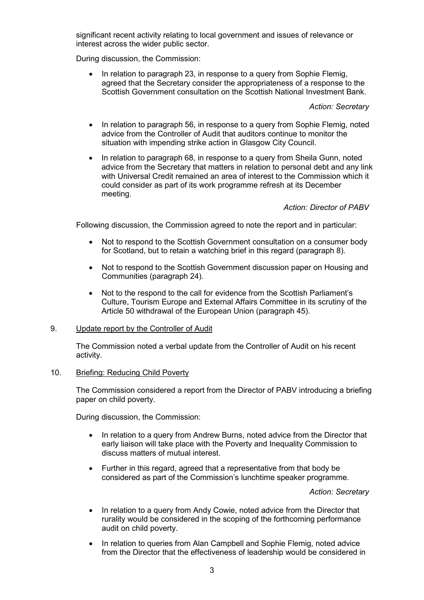significant recent activity relating to local government and issues of relevance or interest across the wider public sector.

During discussion, the Commission:

• In relation to paragraph 23, in response to a query from Sophie Flemig, agreed that the Secretary consider the appropriateness of a response to the Scottish Government consultation on the Scottish National Investment Bank.

#### *Action: Secretary*

- In relation to paragraph 56, in response to a query from Sophie Flemig, noted advice from the Controller of Audit that auditors continue to monitor the situation with impending strike action in Glasgow City Council.
- In relation to paragraph 68, in response to a query from Sheila Gunn, noted advice from the Secretary that matters in relation to personal debt and any link with Universal Credit remained an area of interest to the Commission which it could consider as part of its work programme refresh at its December meeting.

# *Action: Director of PABV*

Following discussion, the Commission agreed to note the report and in particular:

- Not to respond to the Scottish Government consultation on a consumer body for Scotland, but to retain a watching brief in this regard (paragraph 8).
- Not to respond to the Scottish Government discussion paper on Housing and Communities (paragraph 24).
- Not to the respond to the call for evidence from the Scottish Parliament's Culture, Tourism Europe and External Affairs Committee in its scrutiny of the Article 50 withdrawal of the European Union (paragraph 45).

#### 9. Update report by the Controller of Audit

The Commission noted a verbal update from the Controller of Audit on his recent activity.

#### 10. Briefing: Reducing Child Poverty

The Commission considered a report from the Director of PABV introducing a briefing paper on child poverty.

During discussion, the Commission:

- In relation to a query from Andrew Burns, noted advice from the Director that early liaison will take place with the Poverty and Inequality Commission to discuss matters of mutual interest.
- Further in this regard, agreed that a representative from that body be considered as part of the Commission's lunchtime speaker programme.

*Action: Secretary*

- In relation to a query from Andy Cowie, noted advice from the Director that rurality would be considered in the scoping of the forthcoming performance audit on child poverty.
- In relation to queries from Alan Campbell and Sophie Flemig, noted advice from the Director that the effectiveness of leadership would be considered in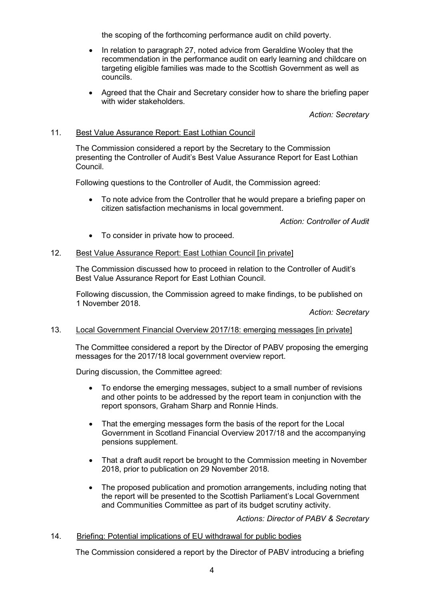the scoping of the forthcoming performance audit on child poverty.

- In relation to paragraph 27, noted advice from Geraldine Wooley that the recommendation in the performance audit on early learning and childcare on targeting eligible families was made to the Scottish Government as well as councils.
- Agreed that the Chair and Secretary consider how to share the briefing paper with wider stakeholders.

*Action: Secretary*

### 11. Best Value Assurance Report: East Lothian Council

The Commission considered a report by the Secretary to the Commission presenting the Controller of Audit's Best Value Assurance Report for East Lothian Council.

Following questions to the Controller of Audit, the Commission agreed:

• To note advice from the Controller that he would prepare a briefing paper on citizen satisfaction mechanisms in local government.

*Action: Controller of Audit*

• To consider in private how to proceed.

### 12. Best Value Assurance Report: East Lothian Council [in private]

The Commission discussed how to proceed in relation to the Controller of Audit's Best Value Assurance Report for East Lothian Council.

Following discussion, the Commission agreed to make findings, to be published on 1 November 2018.

*Action: Secretary*

#### 13. Local Government Financial Overview 2017/18: emerging messages [in private]

The Committee considered a report by the Director of PABV proposing the emerging messages for the 2017/18 local government overview report.

During discussion, the Committee agreed:

- To endorse the emerging messages, subject to a small number of revisions and other points to be addressed by the report team in conjunction with the report sponsors, Graham Sharp and Ronnie Hinds.
- That the emerging messages form the basis of the report for the Local Government in Scotland Financial Overview 2017/18 and the accompanying pensions supplement.
- That a draft audit report be brought to the Commission meeting in November 2018, prior to publication on 29 November 2018.
- The proposed publication and promotion arrangements, including noting that the report will be presented to the Scottish Parliament's Local Government and Communities Committee as part of its budget scrutiny activity.

*Actions: Director of PABV & Secretary*

#### 14. Briefing: Potential implications of EU withdrawal for public bodies

The Commission considered a report by the Director of PABV introducing a briefing